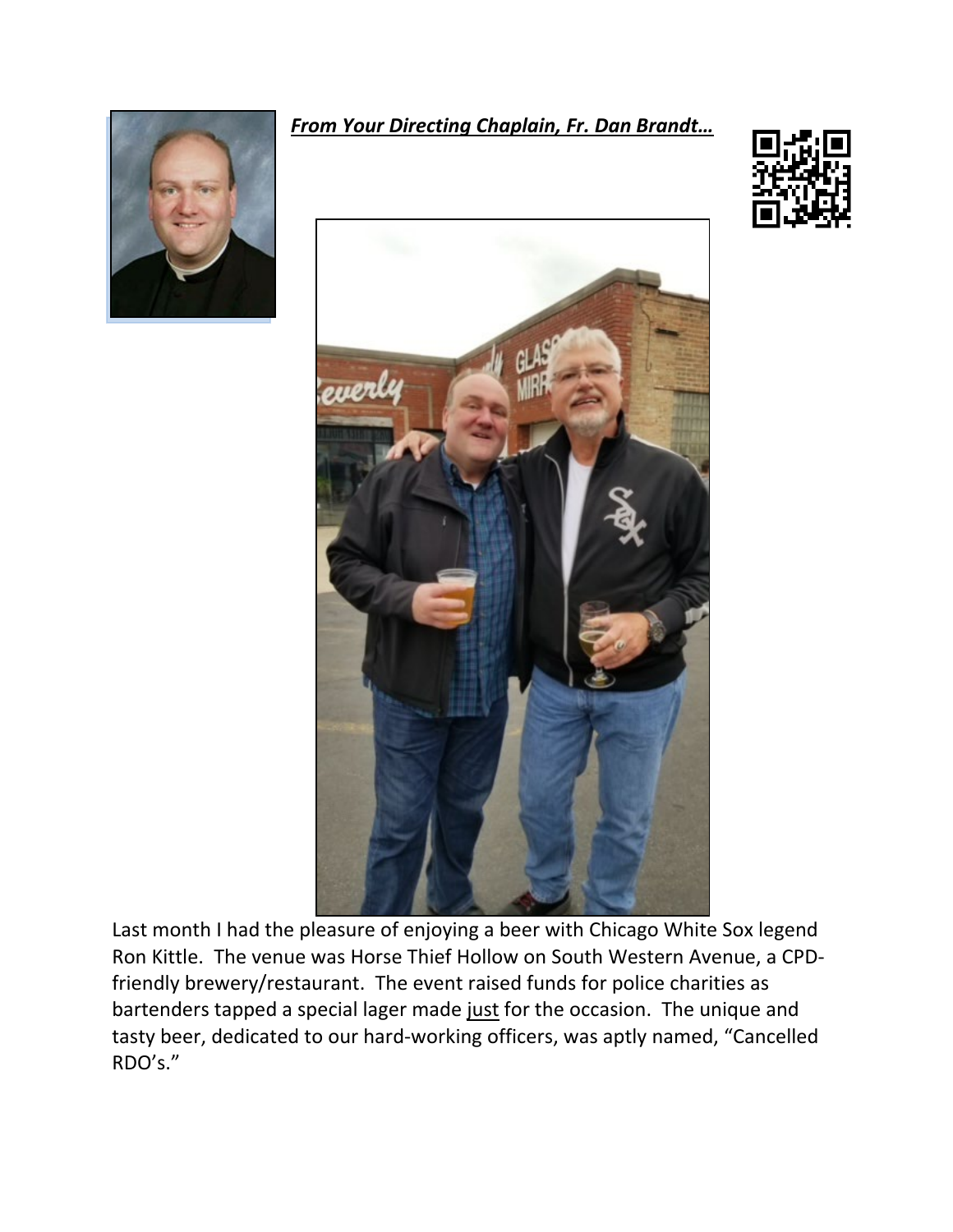

*From Your Directing Chaplain, Fr. Dan Brandt…*





Last month I had the pleasure of enjoying a beer with Chicago White Sox legend Ron Kittle. The venue was Horse Thief Hollow on South Western Avenue, a CPDfriendly brewery/restaurant. The event raised funds for police charities as bartenders tapped a special lager made just for the occasion. The unique and tasty beer, dedicated to our hard-working officers, was aptly named, "Cancelled RDO's."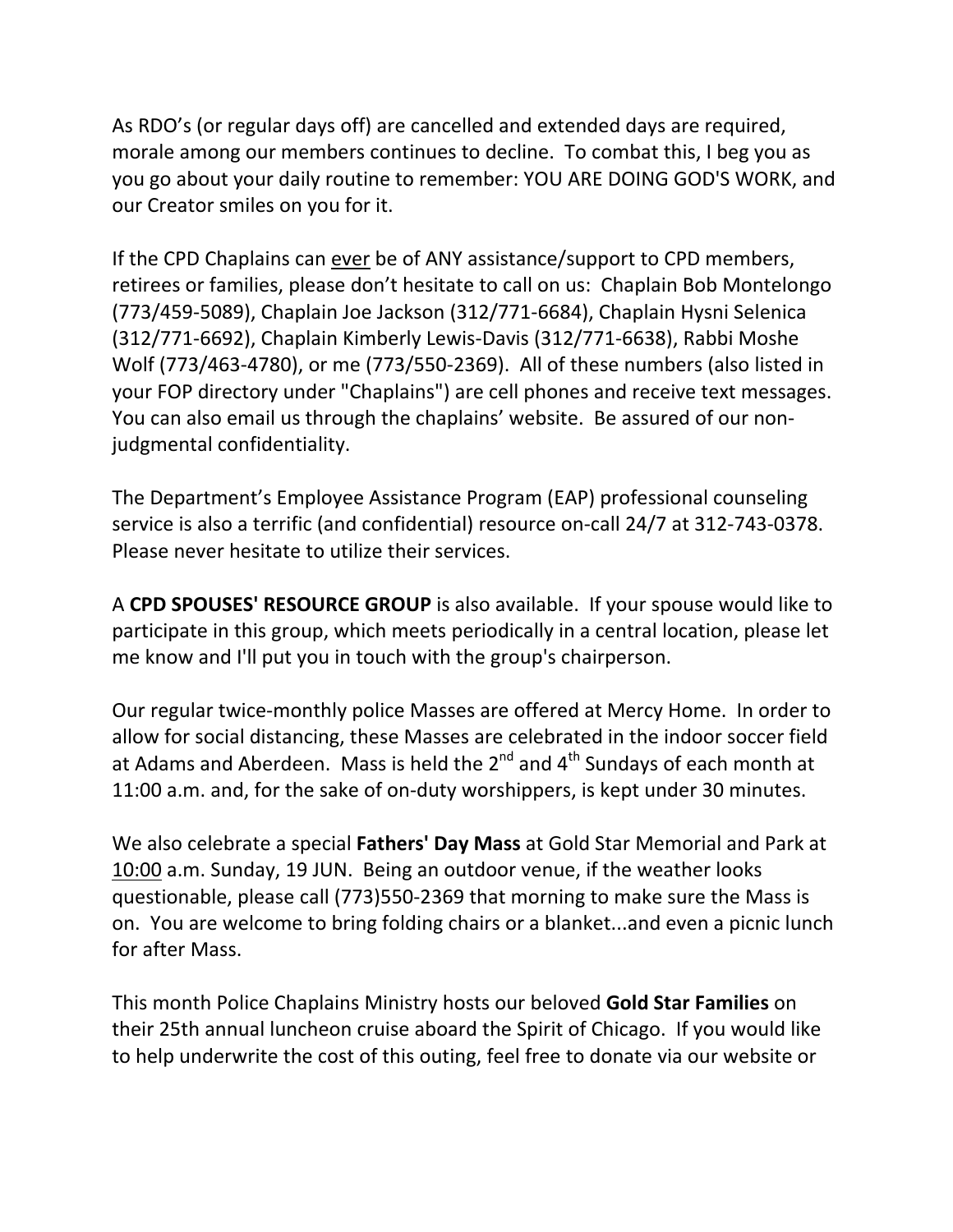As RDO's (or regular days off) are cancelled and extended days are required, morale among our members continues to decline. To combat this, I beg you as you go about your daily routine to remember: YOU ARE DOING GOD'S WORK, and our Creator smiles on you for it.

If the CPD Chaplains can ever be of ANY assistance/support to CPD members, retirees or families, please don't hesitate to call on us: Chaplain Bob Montelongo (773/459-5089), Chaplain Joe Jackson (312/771-6684), Chaplain Hysni Selenica (312/771-6692), Chaplain Kimberly Lewis-Davis (312/771-6638), Rabbi Moshe Wolf (773/463-4780), or me (773/550-2369). All of these numbers (also listed in your FOP directory under "Chaplains") are cell phones and receive text messages. You can also email us through the chaplains' website. Be assured of our nonjudgmental confidentiality.

The Department's Employee Assistance Program (EAP) professional counseling service is also a terrific (and confidential) resource on-call 24/7 at 312-743-0378. Please never hesitate to utilize their services.

A **CPD SPOUSES' RESOURCE GROUP** is also available. If your spouse would like to participate in this group, which meets periodically in a central location, please let me know and I'll put you in touch with the group's chairperson.

Our regular twice-monthly police Masses are offered at Mercy Home. In order to allow for social distancing, these Masses are celebrated in the indoor soccer field at Adams and Aberdeen. Mass is held the  $2^{nd}$  and  $4^{th}$  Sundays of each month at 11:00 a.m. and, for the sake of on-duty worshippers, is kept under 30 minutes.

We also celebrate a special **Fathers' Day Mass** at Gold Star Memorial and Park at 10:00 a.m. Sunday, 19 JUN. Being an outdoor venue, if the weather looks questionable, please call (773)550-2369 that morning to make sure the Mass is on. You are welcome to bring folding chairs or a blanket...and even a picnic lunch for after Mass.

This month Police Chaplains Ministry hosts our beloved **Gold Star Families** on their 25th annual luncheon cruise aboard the Spirit of Chicago. If you would like to help underwrite the cost of this outing, feel free to donate via our website or